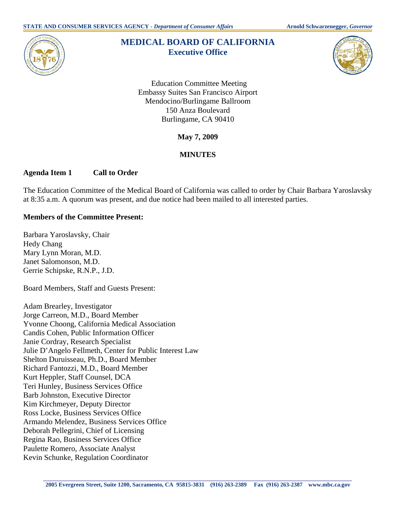

# **MEDICAL BOARD OF CALIFORNIA Executive Office**



 Education Committee Meeting Embassy Suites San Francisco Airport Mendocino/Burlingame Ballroom 150 Anza Boulevard Burlingame, CA 90410

**May 7, 2009** 

# **MINUTES**

## **Agenda Item 1 Call to Order**

The Education Committee of the Medical Board of California was called to order by Chair Barbara Yaroslavsky at 8:35 a.m. A quorum was present, and due notice had been mailed to all interested parties.

#### **Members of the Committee Present:**

Barbara Yaroslavsky, Chair Hedy Chang Mary Lynn Moran, M.D. Janet Salomonson, M.D. Gerrie Schipske, R.N.P., J.D.

Board Members, Staff and Guests Present:

Adam Brearley, Investigator Jorge Carreon, M.D., Board Member Yvonne Choong, California Medical Association Candis Cohen, Public Information Officer Janie Cordray, Research Specialist Julie D'Angelo Fellmeth, Center for Public Interest Law Shelton Duruisseau, Ph.D., Board Member Richard Fantozzi, M.D., Board Member Kurt Heppler, Staff Counsel, DCA Teri Hunley, Business Services Office Barb Johnston, Executive Director Kim Kirchmeyer, Deputy Director Ross Locke, Business Services Office Armando Melendez, Business Services Office Deborah Pellegrini, Chief of Licensing Regina Rao, Business Services Office Paulette Romero, Associate Analyst Kevin Schunke, Regulation Coordinator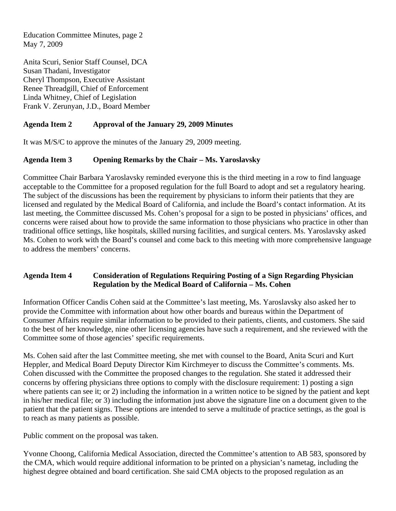Education Committee Minutes, page 2 May 7, 2009

Anita Scuri, Senior Staff Counsel, DCA Susan Thadani, Investigator Cheryl Thompson, Executive Assistant Renee Threadgill, Chief of Enforcement Linda Whitney, Chief of Legislation Frank V. Zerunyan, J.D., Board Member

## **Agenda Item 2 Approval of the January 29, 2009 Minutes**

It was M/S/C to approve the minutes of the January 29, 2009 meeting.

#### **Agenda Item 3 Opening Remarks by the Chair – Ms. Yaroslavsky**

Committee Chair Barbara Yaroslavsky reminded everyone this is the third meeting in a row to find language acceptable to the Committee for a proposed regulation for the full Board to adopt and set a regulatory hearing. The subject of the discussions has been the requirement by physicians to inform their patients that they are licensed and regulated by the Medical Board of California, and include the Board's contact information. At its last meeting, the Committee discussed Ms. Cohen's proposal for a sign to be posted in physicians' offices, and concerns were raised about how to provide the same information to those physicians who practice in other than traditional office settings, like hospitals, skilled nursing facilities, and surgical centers. Ms. Yaroslavsky asked Ms. Cohen to work with the Board's counsel and come back to this meeting with more comprehensive language to address the members' concerns.

#### **Agenda Item 4 Consideration of Regulations Requiring Posting of a Sign Regarding Physician Regulation by the Medical Board of California – Ms. Cohen**

Information Officer Candis Cohen said at the Committee's last meeting, Ms. Yaroslavsky also asked her to provide the Committee with information about how other boards and bureaus within the Department of Consumer Affairs require similar information to be provided to their patients, clients, and customers. She said to the best of her knowledge, nine other licensing agencies have such a requirement, and she reviewed with the Committee some of those agencies' specific requirements.

Ms. Cohen said after the last Committee meeting, she met with counsel to the Board, Anita Scuri and Kurt Heppler, and Medical Board Deputy Director Kim Kirchmeyer to discuss the Committee's comments. Ms. Cohen discussed with the Committee the proposed changes to the regulation. She stated it addressed their concerns by offering physicians three options to comply with the disclosure requirement: 1) posting a sign where patients can see it; or 2) including the information in a written notice to be signed by the patient and kept in his/her medical file; or 3) including the information just above the signature line on a document given to the patient that the patient signs. These options are intended to serve a multitude of practice settings, as the goal is to reach as many patients as possible.

Public comment on the proposal was taken.

Yvonne Choong, California Medical Association, directed the Committee's attention to AB 583, sponsored by the CMA, which would require additional information to be printed on a physician's nametag, including the highest degree obtained and board certification. She said CMA objects to the proposed regulation as an